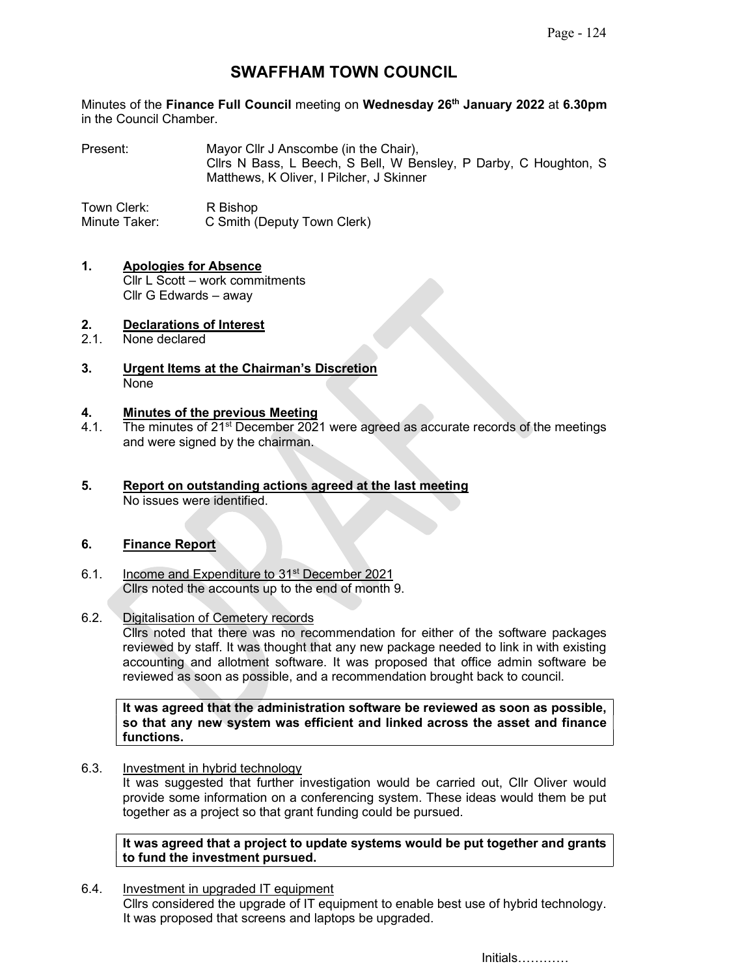# SWAFFHAM TOWN COUNCIL

Minutes of the Finance Full Council meeting on Wednesday 26<sup>th</sup> January 2022 at 6.30pm in the Council Chamber.

Present: Mayor Cllr J Anscombe (in the Chair), Cllrs N Bass, L Beech, S Bell, W Bensley, P Darby, C Houghton, S Matthews, K Oliver, I Pilcher, J Skinner

Town Clerk: R Bishop Minute Taker: C Smith (Deputy Town Clerk)

#### 1. Apologies for Absence Cllr L Scott – work commitments Cllr G Edwards – away

# 2. Declarations of Interest<br>2.1. None declared

- None declared
- 3. Urgent Items at the Chairman's Discretion None

#### 4. Minutes of the previous Meeting

- 4.1. The minutes of 21<sup>st</sup> December 2021 were agreed as accurate records of the meetings and were signed by the chairman.
- 5. Report on outstanding actions agreed at the last meeting No issues were identified.

#### 6. Finance Report

6.1. Income and Expenditure to 31<sup>st</sup> December 2021 Cllrs noted the accounts up to the end of month 9.

#### 6.2. Digitalisation of Cemetery records

Cllrs noted that there was no recommendation for either of the software packages reviewed by staff. It was thought that any new package needed to link in with existing accounting and allotment software. It was proposed that office admin software be reviewed as soon as possible, and a recommendation brought back to council.

It was agreed that the administration software be reviewed as soon as possible, so that any new system was efficient and linked across the asset and finance functions.

#### 6.3. Investment in hybrid technology

It was suggested that further investigation would be carried out, Cllr Oliver would provide some information on a conferencing system. These ideas would them be put together as a project so that grant funding could be pursued.

#### It was agreed that a project to update systems would be put together and grants to fund the investment pursued.

6.4. Investment in upgraded IT equipment Cllrs considered the upgrade of IT equipment to enable best use of hybrid technology. It was proposed that screens and laptops be upgraded.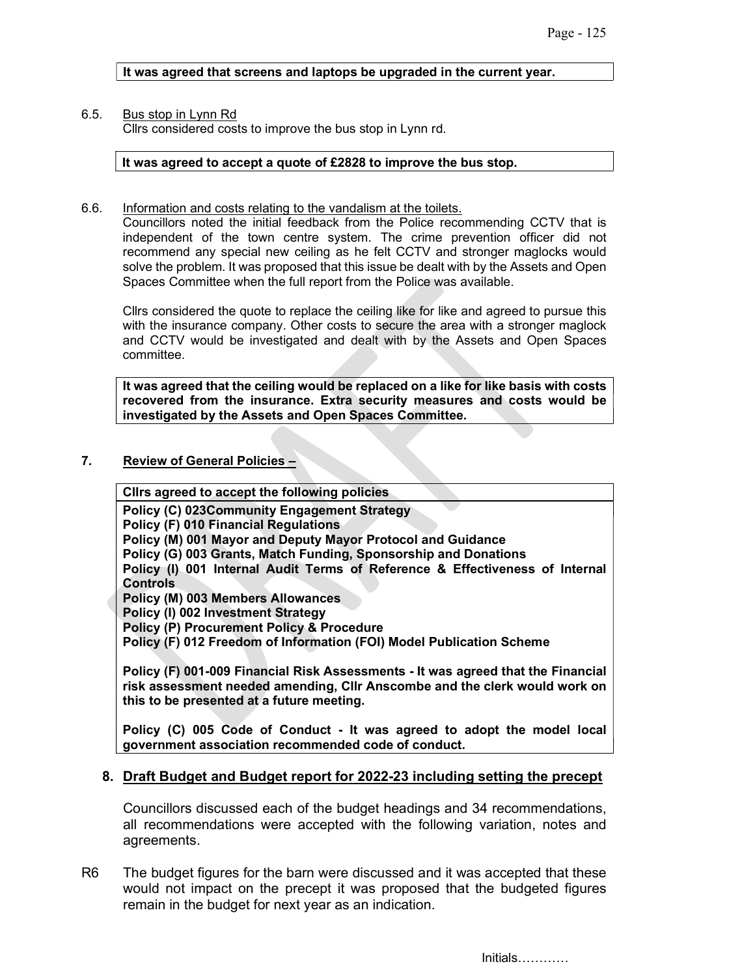It was agreed that screens and laptops be upgraded in the current year.

# 6.5. Bus stop in Lynn Rd

Cllrs considered costs to improve the bus stop in Lynn rd.

#### It was agreed to accept a quote of £2828 to improve the bus stop.

6.6. Information and costs relating to the vandalism at the toilets.

Councillors noted the initial feedback from the Police recommending CCTV that is independent of the town centre system. The crime prevention officer did not recommend any special new ceiling as he felt CCTV and stronger maglocks would solve the problem. It was proposed that this issue be dealt with by the Assets and Open Spaces Committee when the full report from the Police was available.

Cllrs considered the quote to replace the ceiling like for like and agreed to pursue this with the insurance company. Other costs to secure the area with a stronger maglock and CCTV would be investigated and dealt with by the Assets and Open Spaces committee.

It was agreed that the ceiling would be replaced on a like for like basis with costs recovered from the insurance. Extra security measures and costs would be investigated by the Assets and Open Spaces Committee.

# 7. Review of General Policies –

Cllrs agreed to accept the following policies

Policy (C) 023Community Engagement Strategy

Policy (F) 010 Financial Regulations

Policy (M) 001 Mayor and Deputy Mayor Protocol and Guidance

Policy (G) 003 Grants, Match Funding, Sponsorship and Donations

Policy (I) 001 Internal Audit Terms of Reference & Effectiveness of Internal Controls

Policy (M) 003 Members Allowances

Policy (I) 002 Investment Strategy

Policy (P) Procurement Policy & Procedure

Policy (F) 012 Freedom of Information (FOI) Model Publication Scheme

Policy (F) 001-009 Financial Risk Assessments - It was agreed that the Financial risk assessment needed amending, Cllr Anscombe and the clerk would work on this to be presented at a future meeting.

Policy (C) 005 Code of Conduct - It was agreed to adopt the model local government association recommended code of conduct.

# 8. Draft Budget and Budget report for 2022-23 including setting the precept

Councillors discussed each of the budget headings and 34 recommendations, all recommendations were accepted with the following variation, notes and agreements.

R6 The budget figures for the barn were discussed and it was accepted that these would not impact on the precept it was proposed that the budgeted figures remain in the budget for next year as an indication.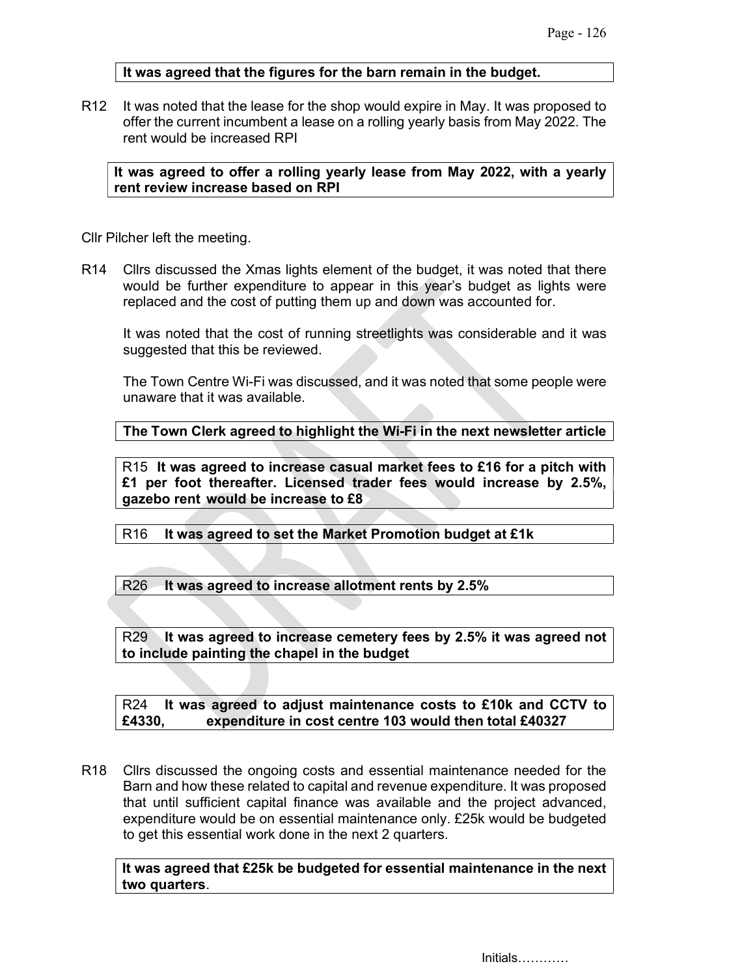# It was agreed that the figures for the barn remain in the budget.

R12 It was noted that the lease for the shop would expire in May. It was proposed to offer the current incumbent a lease on a rolling yearly basis from May 2022. The rent would be increased RPI

It was agreed to offer a rolling yearly lease from May 2022, with a yearly rent review increase based on RPI

Cllr Pilcher left the meeting.

R14 Cllrs discussed the Xmas lights element of the budget, it was noted that there would be further expenditure to appear in this year's budget as lights were replaced and the cost of putting them up and down was accounted for.

 It was noted that the cost of running streetlights was considerable and it was suggested that this be reviewed.

 The Town Centre Wi-Fi was discussed, and it was noted that some people were unaware that it was available.

The Town Clerk agreed to highlight the Wi-Fi in the next newsletter article

R15 It was agreed to increase casual market fees to £16 for a pitch with £1 per foot thereafter. Licensed trader fees would increase by 2.5%, gazebo rent would be increase to £8

R16 It was agreed to set the Market Promotion budget at £1k

R26 It was agreed to increase allotment rents by 2.5%

R29 It was agreed to increase cemetery fees by 2.5% it was agreed not to include painting the chapel in the budget

R24 It was agreed to adjust maintenance costs to £10k and CCTV to £4330, expenditure in cost centre 103 would then total £40327

R18 Cllrs discussed the ongoing costs and essential maintenance needed for the Barn and how these related to capital and revenue expenditure. It was proposed that until sufficient capital finance was available and the project advanced, expenditure would be on essential maintenance only. £25k would be budgeted to get this essential work done in the next 2 quarters.

It was agreed that £25k be budgeted for essential maintenance in the next two quarters.